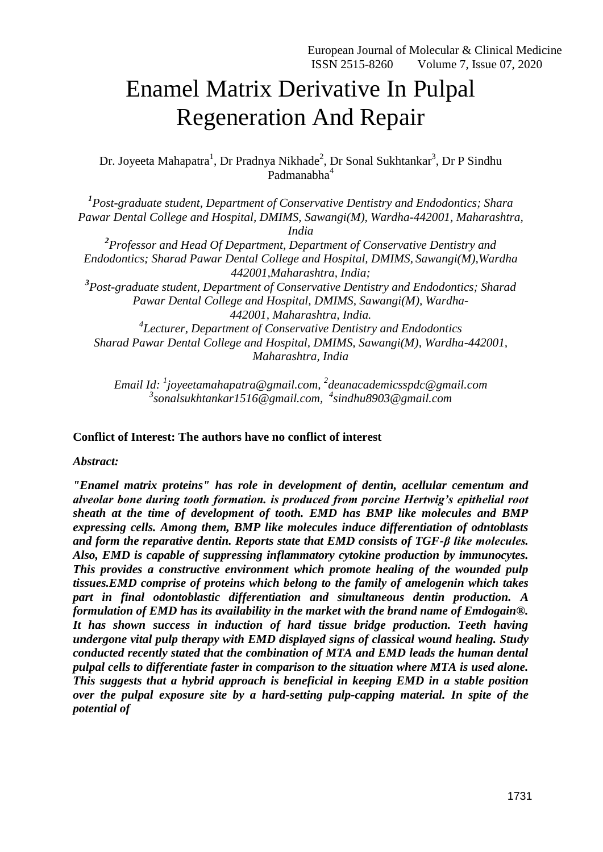# Enamel Matrix Derivative In Pulpal Regeneration And Repair

Dr. Joyeeta Mahapatra<sup>1</sup>, Dr Pradnya Nikhade<sup>2</sup>, Dr Sonal Sukhtankar<sup>3</sup>, Dr P Sindhu Padmanabha<sup>4</sup>

*1 Post-graduate student, Department of Conservative Dentistry and Endodontics; Shara Pawar Dental College and Hospital, DMIMS, Sawangi(M), Wardha-442001, Maharashtra, India 2 Professor and Head Of Department, Department of Conservative Dentistry and Endodontics; Sharad Pawar Dental College and Hospital, DMIMS, Sawangi(M),Wardha 442001,Maharashtra, India; 3 Post-graduate student, Department of Conservative Dentistry and Endodontics; Sharad Pawar Dental College and Hospital, DMIMS, Sawangi(M), Wardha-442001, Maharashtra, India. 4 Lecturer, Department of Conservative Dentistry and Endodontics Sharad Pawar Dental College and Hospital, DMIMS, Sawangi(M), Wardha-442001, Maharashtra, India*

*Email Id: <sup>1</sup> [joyeetamahapatra@gmail.com,](mailto:dipika.masurkar@gmail.com) 2 [deanacademicsspdc@gmail.com](mailto:priyanka.banode@gmail.com) 3 [sonalsukhtankar1516@gmail.com,](mailto:dikshaagrawal81@gmail.com) 4 [sindhu8903@gmail.com](mailto:sindhu8903@gmail.com)*

# **Conflict of Interest: The authors have no conflict of interest**

*Abstract:*

*"Enamel matrix proteins" has role in development of dentin, acellular cementum and alveolar bone during tooth formation. is produced from porcine Hertwig's epithelial root sheath at the time of development of tooth. EMD has BMP like molecules and BMP expressing cells. Among them, BMP like molecules induce differentiation of odntoblasts and form the reparative dentin. Reports state that EMD consists of TGF-β like molecules. Also, EMD is capable of suppressing inflammatory cytokine production by immunocytes. This provides a constructive environment which promote healing of the wounded pulp tissues.EMD comprise of proteins which belong to the family of [amelogenin](https://www.sciencedirect.com/topics/medicine-and-dentistry/amelogenin) which takes part in final odontoblastic differentiation and simultaneous dentin production. A formulation of EMD has its availability in the market with the brand name of Emdogain®. It has shown success in induction of hard tissue bridge production. Teeth having undergone vital pulp therapy with EMD displayed signs of classical wound healing. Study conducted recently stated that the combination of MTA and EMD leads the human dental pulpal cells to differentiate faster in comparison to the situation where MTA is used alone. This suggests that a hybrid approach is beneficial in keeping EMD in a stable position over the pulpal exposure site by a hard-setting pulp-capping material. In spite of the potential of*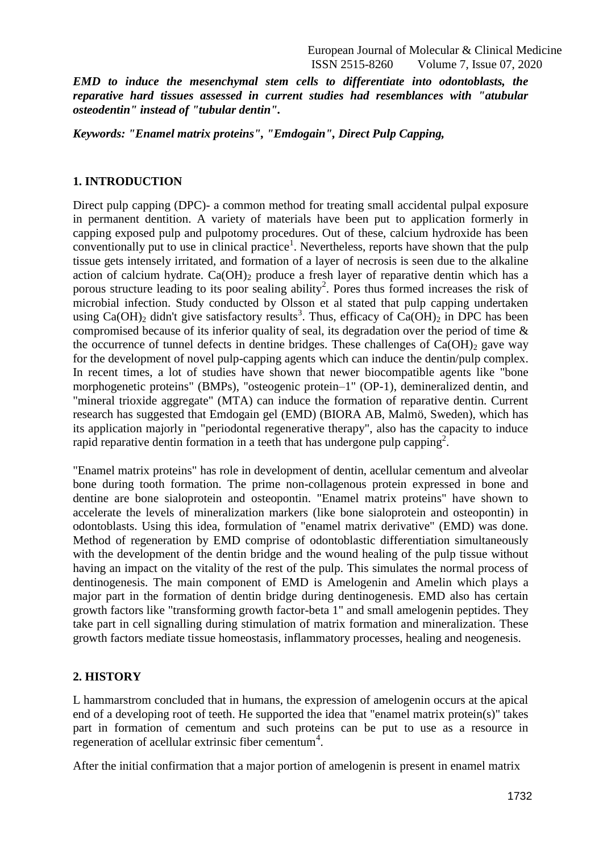European Journal of Molecular & Clinical Medicine ISSN 2515-8260 Volume 7, Issue 07, 2020

*EMD to induce the mesenchymal stem cells to differentiate into odontoblasts, the reparative hard tissues assessed in current studies had resemblances with "atubular osteodentin" instead of "tubular dentin".*

*Keywords: "Enamel matrix proteins", "Emdogain", Direct Pulp Capping,*

#### **1. INTRODUCTION**

Direct pulp capping (DPC)- a common method for treating small accidental pulpal exposure in permanent dentition. A variety of materials have been put to application formerly in capping exposed pulp and pulpotomy procedures. Out of these, calcium hydroxide has been conventionally put to use in clinical practice<sup>1</sup>. Nevertheless, reports have shown that the pulp tissue gets intensely irritated, and formation of a layer of necrosis is seen due to the alkaline action of calcium hydrate.  $Ca(OH)_2$  produce a fresh layer of reparative dentin which has a porous structure leading to its poor sealing ability<sup>2</sup>. Pores thus formed increases the risk of microbial infection. Study conducted by Olsson et al stated that pulp capping undertaken using Ca(OH)<sub>2</sub> didn't give satisfactory results<sup>3</sup>. Thus, efficacy of Ca(OH)<sub>2</sub> in DPC has been compromised because of its inferior quality of seal, its degradation over the period of time & the occurrence of tunnel defects in dentine bridges. These challenges of  $Ca(OH)_2$  gave way for the development of novel pulp-capping agents which can induce the dentin/pulp complex. In recent times, a lot of studies have shown that newer biocompatible agents like "bone morphogenetic proteins" (BMPs), "osteogenic protein–1" (OP-1), demineralized dentin, and "mineral trioxide aggregate" (MTA) can induce the formation of reparative dentin. Current research has suggested that Emdogain gel (EMD) (BIORA AB, Malmö, Sweden), which has its application majorly in "periodontal regenerative therapy", also has the capacity to induce rapid reparative dentin formation in a teeth that has undergone pulp capping<sup>2</sup>.

"Enamel matrix proteins" has role in development of dentin, acellular cementum and alveolar bone during tooth formation. The prime non-collagenous protein expressed in bone and dentine are bone sialoprotein and osteopontin. "Enamel matrix proteins" have shown to accelerate the levels of mineralization markers (like bone sialoprotein and osteopontin) in odontoblasts. Using this idea, formulation of "enamel matrix derivative" (EMD) was done. Method of regeneration by EMD comprise of odontoblastic differentiation simultaneously with the development of the dentin bridge and the wound healing of the pulp tissue without having an impact on the vitality of the rest of the pulp. This simulates the normal process of dentinogenesis. The main component of EMD is Amelogenin and Amelin which plays a major part in the formation of dentin bridge during dentinogenesis. EMD also has certain growth factors like "transforming growth factor-beta 1" and small amelogenin peptides. They take part in cell signalling during stimulation of matrix formation and mineralization. These growth factors mediate tissue homeostasis, inflammatory processes, healing and neogenesis.

#### **2. HISTORY**

L hammarstrom concluded that in humans, the expression of amelogenin occurs at the apical end of a developing root of teeth. He supported the idea that "enamel matrix protein(s)" takes part in formation of cementum and such proteins can be put to use as a resource in regeneration of acellular extrinsic fiber cementum<sup>4</sup>.

After the initial confirmation that a major portion of amelogenin is present in enamel matrix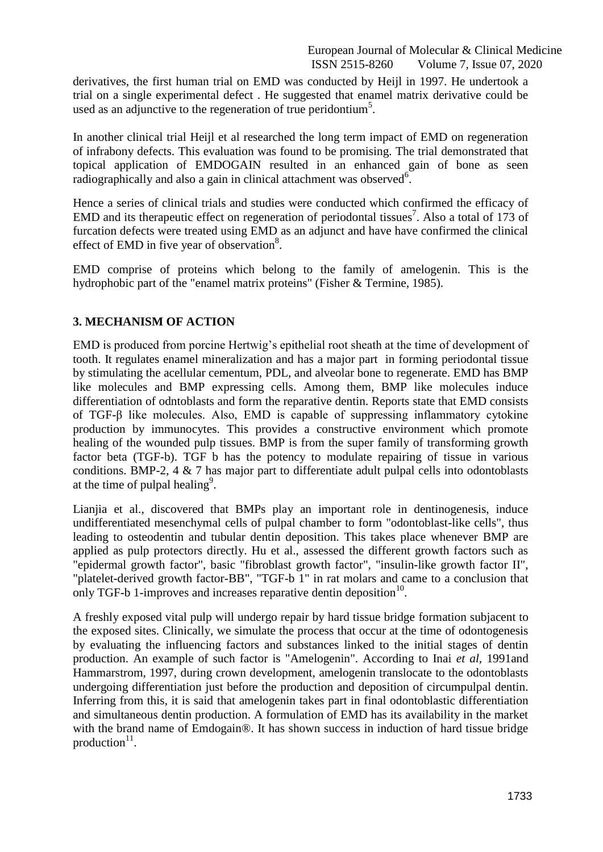derivatives, the first human trial on EMD was conducted by Heijl in 1997. He undertook a trial on a single experimental defect . He suggested that enamel matrix derivative could be used as an adjunctive to the regeneration of true peridontium<sup>5</sup>.

In another clinical trial Heijl et al researched the long term impact of EMD on regeneration of infrabony defects. This evaluation was found to be promising. The trial demonstrated that topical application of EMDOGAIN resulted in an enhanced gain of bone as seen radiographically and also a gain in clinical attachment was observed<sup>6</sup>.

Hence a series of clinical trials and studies were conducted which confirmed the efficacy of EMD and its therapeutic effect on regeneration of periodontal tissues<sup>7</sup>. Also a total of 173 of furcation defects were treated using EMD as an adjunct and have have confirmed the clinical effect of EMD in five year of observation $8$ .

EMD comprise of proteins which belong to the family of [amelogenin.](https://www.sciencedirect.com/topics/medicine-and-dentistry/amelogenin) This is the hydrophobic part of the ["enamel matrix proteins"](https://www.sciencedirect.com/topics/medicine-and-dentistry/tooth-enamel) (Fisher & Termine, 1985).

# **3. MECHANISM OF ACTION**

EMD is produced from porcine Hertwig's epithelial root sheath at the time of development of tooth. It regulates enamel mineralization and has a major part in forming periodontal tissue by stimulating the acellular cementum, PDL, and alveolar bone to regenerate. EMD has BMP like molecules and BMP expressing cells. Among them, BMP like molecules induce differentiation of odntoblasts and form the reparative dentin. Reports state that EMD consists of TGF-β like molecules. Also, EMD is capable of suppressing inflammatory cytokine production by immunocytes. This provides a constructive environment which promote healing of the wounded pulp tissues. BMP is from the super family of transforming growth factor beta (TGF-b). TGF b has the potency to modulate repairing of tissue in various conditions. BMP-2, 4 & 7 has major part to differentiate adult pulpal cells into odontoblasts at the time of pulpal healing<sup>9</sup>.

Lianjia et al., discovered that BMPs play an important role in dentinogenesis, induce undifferentiated mesenchymal cells of pulpal chamber to form "odontoblast-like cells", thus leading to osteodentin and tubular dentin deposition. This takes place whenever BMP are applied as pulp protectors directly. Hu et al., assessed the different growth factors such as "epidermal growth factor", basic "fibroblast growth factor", "insulin-like growth factor II", "platelet-derived growth factor-BB", "TGF-b 1" in rat molars and came to a conclusion that only TGF-b 1-improves and increases reparative dentin deposition $10$ .

A freshly exposed vital pulp will undergo repair by hard tissue bridge formation subjacent to the exposed sites. Clinically, we simulate the process that occur at the time of odontogenesis by evaluating the influencing factors and substances linked to the initial stages of dentin production. An example of such factor is "Amelogenin". According to Inai *et al,* 1991and Hammarstrom, 1997, during crown development, amelogenin translocate to the odontoblasts undergoing differentiation just before the production and deposition of circumpulpal dentin. Inferring from this, it is said that amelogenin takes part in final odontoblastic differentiation and simultaneous dentin production. A formulation of EMD has its availability in the market with the brand name of Emdogain®. It has shown success in induction of hard tissue bridge production<sup>11</sup>.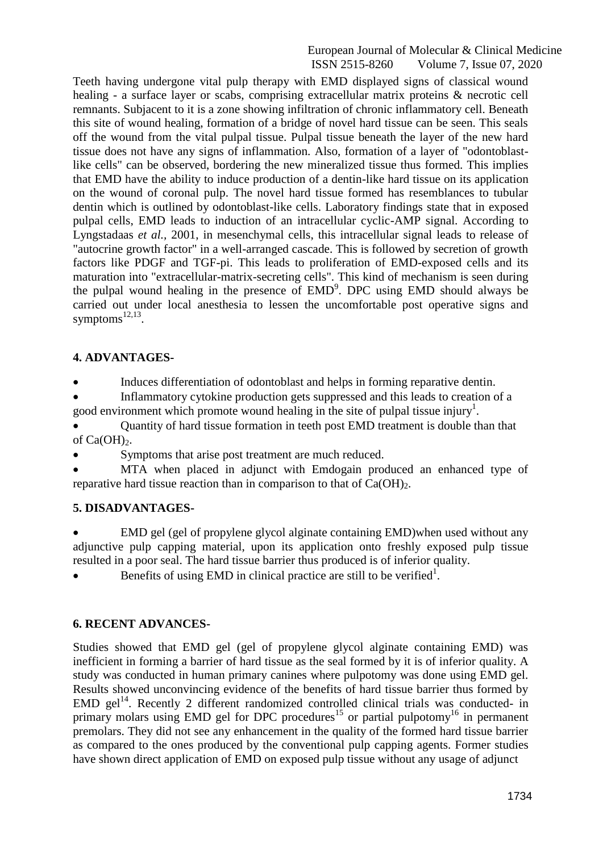#### European Journal of Molecular & Clinical Medicine ISSN 2515-8260 Volume 7, Issue 07, 2020

Teeth having undergone vital pulp therapy with EMD displayed signs of classical wound healing - a surface layer or scabs, comprising extracellular matrix proteins & necrotic cell remnants. Subjacent to it is a zone showing infiltration of chronic inflammatory cell. Beneath this site of wound healing, formation of a bridge of novel hard tissue can be seen. This seals off the wound from the vital pulpal tissue. Pulpal tissue beneath the layer of the new hard tissue does not have any signs of inflammation. Also, formation of a layer of "odontoblastlike cells" can be observed, bordering the new mineralized tissue thus formed. This implies that EMD have the ability to induce production of a dentin-like hard tissue on its application on the wound of coronal pulp. The novel hard tissue formed has resemblances to tubular dentin which is outlined by odontoblast-like cells. Laboratory findings state that in exposed pulpal cells, EMD leads to induction of an intracellular cyclic-AMP signal. According to Lyngstadaas *et al.,* 2001, in mesenchymal cells, this intracellular signal leads to release of "autocrine growth factor" in a well-arranged cascade. This is followed by secretion of growth factors like PDGF and TGF-pi. This leads to proliferation of EMD-exposed cells and its maturation into "extracellular-matrix-secreting cells". This kind of mechanism is seen during the pulpal wound healing in the presence of  $EMD<sup>9</sup>$ . DPC using EMD should always be carried out under local anesthesia to lessen the uncomfortable post operative signs and symptoms<sup>12,13</sup>.

# **4. ADVANTAGES-**

Induces differentiation of odontoblast and helps in forming reparative dentin.

• Inflammatory cytokine production gets suppressed and this leads to creation of a good environment which promote wound healing in the site of pulpal tissue injury<sup>1</sup>.

 Quantity of hard tissue formation in teeth post EMD treatment is double than that of  $Ca(OH)_2$ .

Symptoms that arise post treatment are much reduced.

 MTA when placed in adjunct with Emdogain produced an enhanced type of reparative hard tissue reaction than in comparison to that of  $Ca(OH)_{2}$ .

# **5. DISADVANTAGES-**

 EMD gel (gel of propylene glycol alginate containing EMD)when used without any adjunctive pulp capping material, upon its application onto freshly exposed pulp tissue resulted in a poor seal. The hard tissue barrier thus produced is of inferior quality.

Example 1. Benefits of using EMD in clinical practice are still to be verified<sup>1</sup>.

# **6. RECENT ADVANCES-**

Studies showed that EMD gel (gel of propylene glycol alginate containing EMD) was inefficient in forming a barrier of hard tissue as the seal formed by it is of inferior quality. A study was conducted in human primary canines where pulpotomy was done using EMD gel. Results showed unconvincing evidence of the benefits of hard tissue barrier thus formed by  $EMD$  gel<sup>14</sup>. Recently 2 different randomized controlled clinical trials was conducted- in primary molars using EMD gel for DPC procedures<sup>15</sup> or partial pulpotomy<sup>16</sup> in permanent premolars. They did not see any enhancement in the quality of the formed hard tissue barrier as compared to the ones produced by the conventional pulp capping agents. Former studies have shown direct application of EMD on exposed pulp tissue without any usage of adjunct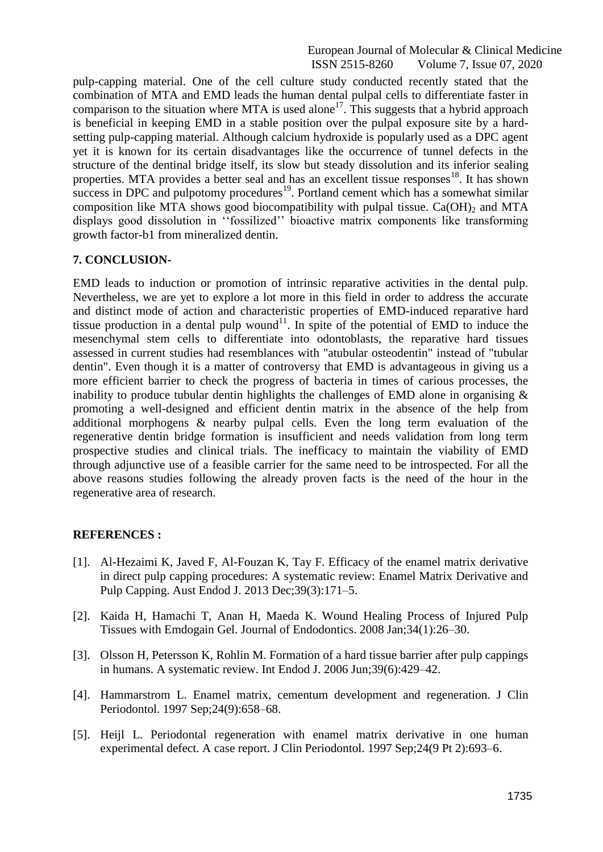#### European Journal of Molecular & Clinical Medicine ISSN 2515-8260 Volume 7, Issue 07, 2020

pulp-capping material. One of the cell culture study conducted recently stated that the combination of MTA and EMD leads the human dental pulpal cells to differentiate faster in comparison to the situation where MTA is used alone<sup>17</sup>. This suggests that a hybrid approach is beneficial in keeping EMD in a stable position over the pulpal exposure site by a hardsetting pulp-capping material. Although calcium hydroxide is popularly used as a DPC agent yet it is known for its certain disadvantages like the occurrence of tunnel defects in the structure of the dentinal bridge itself, its slow but steady dissolution and its inferior sealing properties. MTA provides a better seal and has an excellent tissue responses<sup>18</sup>. It has shown success in DPC and pulpotomy procedures<sup>19</sup>. Portland cement which has a somewhat similar composition like MTA shows good biocompatibility with pulpal tissue.  $Ca(OH)_2$  and MTA displays good dissolution in ''fossilized'' bioactive matrix components like transforming growth factor-b1 from mineralized dentin.

### **7. CONCLUSION-**

EMD leads to induction or promotion of intrinsic reparative activities in the dental pulp. Nevertheless, we are yet to explore a lot more in this field in order to address the accurate and distinct mode of action and characteristic properties of EMD-induced reparative hard tissue production in a dental pulp wound<sup>11</sup>. In spite of the potential of EMD to induce the mesenchymal stem cells to differentiate into odontoblasts, the reparative hard tissues assessed in current studies had resemblances with "atubular osteodentin" instead of "tubular dentin". Even though it is a matter of controversy that EMD is advantageous in giving us a more efficient barrier to check the progress of bacteria in times of carious processes, the inability to produce tubular dentin highlights the challenges of EMD alone in organising  $\&$ promoting a well-designed and efficient dentin matrix in the absence of the help from additional morphogens & nearby pulpal cells. Even the long term evaluation of the regenerative dentin bridge formation is insufficient and needs validation from long term prospective studies and clinical trials. The inefficacy to maintain the viability of EMD through adjunctive use of a feasible carrier for the same need to be introspected. For all the above reasons studies following the already proven facts is the need of the hour in the regenerative area of research.

#### **REFERENCES :**

- [1]. Al-Hezaimi K, Javed F, Al-Fouzan K, Tay F. Efficacy of the enamel matrix derivative in direct pulp capping procedures: A systematic review: Enamel Matrix Derivative and Pulp Capping. Aust Endod J. 2013 Dec;39(3):171–5.
- [2]. Kaida H, Hamachi T, Anan H, Maeda K. Wound Healing Process of Injured Pulp Tissues with Emdogain Gel. Journal of Endodontics. 2008 Jan;34(1):26–30.
- [3]. Olsson H, Petersson K, Rohlin M. Formation of a hard tissue barrier after pulp cappings in humans. A systematic review. Int Endod J. 2006 Jun;39(6):429–42.
- [4]. Hammarstrom L. Enamel matrix, cementum development and regeneration. J Clin Periodontol. 1997 Sep;24(9):658–68.
- [5]. Heijl L. Periodontal regeneration with enamel matrix derivative in one human experimental defect. A case report. J Clin Periodontol. 1997 Sep;24(9 Pt 2):693–6.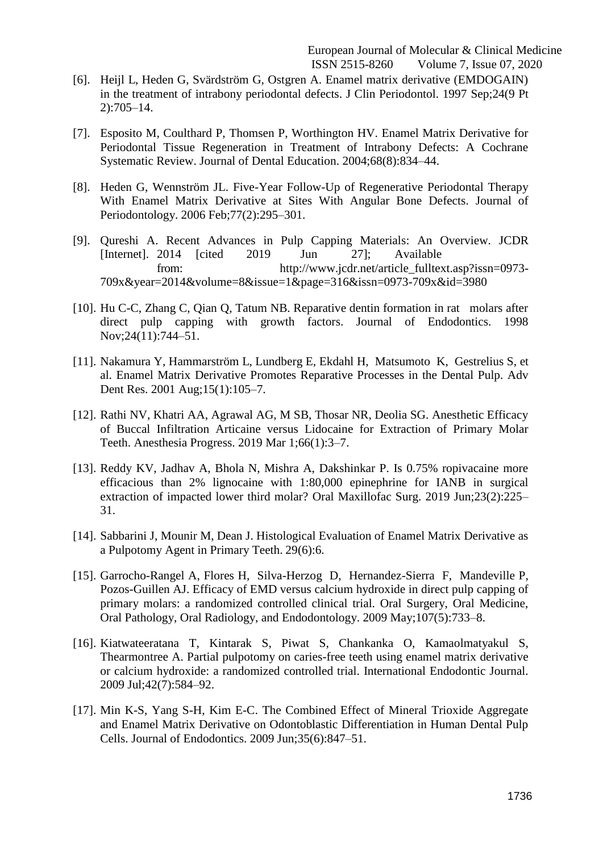- [6]. Heijl L, Heden G, Svärdström G, Ostgren A. Enamel matrix derivative (EMDOGAIN) in the treatment of intrabony periodontal defects. J Clin Periodontol. 1997 Sep;24(9 Pt 2):705–14.
- [7]. Esposito M, Coulthard P, Thomsen P, Worthington HV. Enamel Matrix Derivative for Periodontal Tissue Regeneration in Treatment of Intrabony Defects: A Cochrane Systematic Review. Journal of Dental Education. 2004;68(8):834–44.
- [8]. Heden G, Wennström JL. Five-Year Follow-Up of Regenerative Periodontal Therapy With Enamel Matrix Derivative at Sites With Angular Bone Defects. Journal of Periodontology. 2006 Feb;77(2):295–301.
- [9]. Qureshi A. Recent Advances in Pulp Capping Materials: An Overview. JCDR [Internet]. 2014 [cited 2019 Jun 27]; Available from: [http://www.jcdr.net/article\\_fulltext.asp?issn=0973-](http://www.jcdr.net/article_fulltext.asp?issn=0973-) 709x&year=2014&volume=8&issue=1&page=316&issn=0973-709x&id=3980
- [10]. Hu C-C, Zhang C, Qian Q, Tatum NB. Reparative dentin formation in rat molars after direct pulp capping with growth factors. Journal of Endodontics. 1998 Nov;24(11):744–51.
- [11]. Nakamura Y, Hammarström L, Lundberg E, Ekdahl H, Matsumoto K, Gestrelius S, et al. Enamel Matrix Derivative Promotes Reparative Processes in the Dental Pulp. Adv Dent Res. 2001 Aug;15(1):105–7.
- [12]. Rathi NV, Khatri AA, Agrawal AG, M SB, Thosar NR, Deolia SG. Anesthetic Efficacy of Buccal Infiltration Articaine versus Lidocaine for Extraction of Primary Molar Teeth. Anesthesia Progress. 2019 Mar 1;66(1):3–7.
- [13]. Reddy KV, Jadhav A, Bhola N, Mishra A, Dakshinkar P. Is 0.75% ropivacaine more efficacious than 2% lignocaine with 1:80,000 epinephrine for IANB in surgical extraction of impacted lower third molar? Oral Maxillofac Surg. 2019 Jun;23(2):225– 31.
- [14]. Sabbarini J, Mounir M, Dean J. Histological Evaluation of Enamel Matrix Derivative as a Pulpotomy Agent in Primary Teeth. 29(6):6.
- [15]. Garrocho-Rangel A, Flores H, Silva-Herzog D, Hernandez-Sierra F, Mandeville P, Pozos-Guillen AJ. Efficacy of EMD versus calcium hydroxide in direct pulp capping of primary molars: a randomized controlled clinical trial. Oral Surgery, Oral Medicine, Oral Pathology, Oral Radiology, and Endodontology. 2009 May;107(5):733–8.
- [16]. Kiatwateeratana T, Kintarak S, Piwat S, Chankanka O, Kamaolmatyakul S, Thearmontree A. Partial pulpotomy on caries-free teeth using enamel matrix derivative or calcium hydroxide: a randomized controlled trial. International Endodontic Journal. 2009 Jul;42(7):584–92.
- [17]. Min K-S, Yang S-H, Kim E-C. The Combined Effect of Mineral Trioxide Aggregate and Enamel Matrix Derivative on Odontoblastic Differentiation in Human Dental Pulp Cells. Journal of Endodontics. 2009 Jun;35(6):847–51.